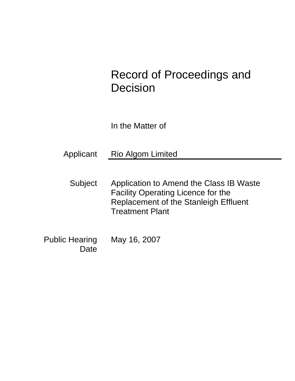# Record of Proceedings and Decision

In the Matter of

Applicant Rio Algom Limited

Subject Application to Amend the Class IB Waste Facility Operating Licence for the Replacement of the Stanleigh Effluent Treatment Plant

Public Hearing Date May 16, 2007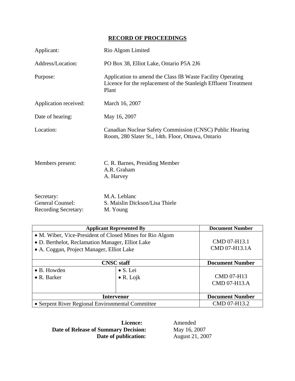# **RECORD OF PROCEEDINGS**

| Applicant:                                                           | Rio Algom Limited                                                                                                                      |
|----------------------------------------------------------------------|----------------------------------------------------------------------------------------------------------------------------------------|
| Address/Location:                                                    | PO Box 38, Elliot Lake, Ontario P5A 2J6                                                                                                |
| Purpose:                                                             | Application to amend the Class IB Waste Facility Operating<br>Licence for the replacement of the Stanleigh Effluent Treatment<br>Plant |
| Application received:                                                | March 16, 2007                                                                                                                         |
| Date of hearing:                                                     | May 16, 2007                                                                                                                           |
| Location:                                                            | Canadian Nuclear Safety Commission (CNSC) Public Hearing<br>Room, 280 Slater St., 14th. Floor, Ottawa, Ontario                         |
| Members present:                                                     | C. R. Barnes, Presiding Member<br>A.R. Graham<br>A. Harvey                                                                             |
| Secretary:<br><b>General Counsel:</b><br><b>Recording Secretary:</b> | M.A. Leblanc<br>S. Maislin Dickson/Lisa Thiele<br>M. Young                                                                             |

| <b>Applicant Represented By</b>                                                                                                                           |                                       | <b>Document Number</b>            |
|-----------------------------------------------------------------------------------------------------------------------------------------------------------|---------------------------------------|-----------------------------------|
| • M. Wiber, Vice-President of Closed Mines for Rio Algom<br>• D. Berthelot, Reclamation Manager, Elliot Lake<br>• A. Coggan, Project Manager, Elliot Lake |                                       | CMD 07-H13.1<br>CMD 07-H13.1A     |
| <b>CNSC</b> staff                                                                                                                                         |                                       | <b>Document Number</b>            |
| • B. Howden<br>$\bullet$ R. Barker                                                                                                                        | $\bullet$ S. Lei<br>$\bullet$ R. Lojk | <b>CMD 07-H13</b><br>CMD 07-H13.A |
| <b>Intervenor</b>                                                                                                                                         |                                       | <b>Document Number</b>            |
| • Serpent River Regional Environmental Committee                                                                                                          |                                       | CMD 07-H13.2                      |

**Date of Release of Summary Decision:** May 16, 2007<br>Date of publication: August 21, 2007 **Date of publication:** 

**Licence:** Amended<br> **y Decision:** May 16, 2007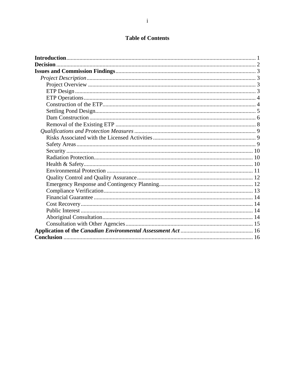# **Table of Contents**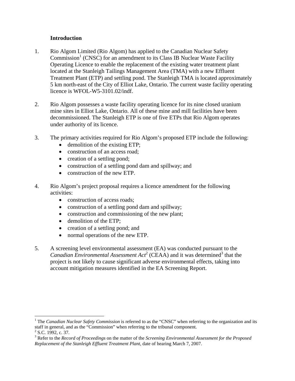# **Introduction**

- 1. Rio Algom Limited (Rio Algom) has applied to the Canadian Nuclear Safety Commission<sup>1</sup> (CNSC) for an amendment to its Class IB Nuclear Waste Facility Operating Licence to enable the replacement of the existing water treatment plant located at the Stanleigh Tailings Management Area (TMA) with a new Effluent Treatment Plant (ETP) and settling pond. The Stanleigh TMA is located approximately 5 km north-east of the City of Elliot Lake, Ontario. The current waste facility operating licence is WFOL-W5-3101.02/indf.
- 2. Rio Algom possesses a waste facility operating licence for its nine closed uranium mine sites in Elliot Lake, Ontario. All of these mine and mill facilities have been decommissioned. The Stanleigh ETP is one of five ETPs that Rio Algom operates under authority of its licence.
- 3. The primary activities required for Rio Algom's proposed ETP include the following:
	- demolition of the existing ETP;
	- construction of an access road:
	- creation of a settling pond;
	- construction of a settling pond dam and spillway; and
	- construction of the new ETP.
- 4. Rio Algom's project proposal requires a licence amendment for the following activities:
	- construction of access roads;
	- construction of a settling pond dam and spillway;
	- construction and commissioning of the new plant;
	- demolition of the ETP:

 $\overline{a}$ 

- creation of a settling pond; and
- normal operations of the new ETP.
- 5. A screening level environmental assessment (EA) was conducted pursuant to the *Canadian Environmental Assessment*  $Act^2$  (CEAA) and it was determined<sup>3</sup> that the project is not likely to cause significant adverse environmental effects, taking into account mitigation measures identified in the EA Screening Report.

<sup>&</sup>lt;sup>1</sup> The *Canadian Nuclear Safety Commission* is referred to as the "CNSC" when referring to the organization and its staff in general, and as the "Commission" when referring to the tribunal component.  $2$  S.C. 1992, c. 37.

<sup>3</sup> Refer to the *Record of Proceedings* on the matter of the *Screening Environmental Assessment for the Proposed Replacement of the Stanleigh Effluent Treatment Plant*, date of hearing March 7, 2007.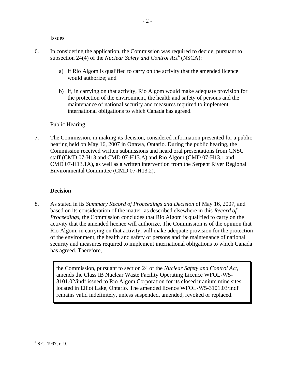**Issues** 

- 6. In considering the application, the Commission was required to decide, pursuant to subsection 24(4) of the *Nuclear Safety and Control Act*<sup>4</sup> (NSCA):
	- a) if Rio Algom is qualified to carry on the activity that the amended licence would authorize; and
	- b) if, in carrying on that activity, Rio Algom would make adequate provision for the protection of the environment, the health and safety of persons and the maintenance of national security and measures required to implement international obligations to which Canada has agreed.

# Public Hearing

7. The Commission, in making its decision, considered information presented for a public hearing held on May 16, 2007 in Ottawa, Ontario. During the public hearing, the Commission received written submissions and heard oral presentations from CNSC staff (CMD 07-H13 and CMD 07-H13.A) and Rio Algom (CMD 07-H13.1 and CMD 07-H13.1A), as well as a written intervention from the Serpent River Regional Environmental Committee (CMD 07-H13.2).

# **Decision**

8. As stated in its *Summary Record of Proceedings and Decision* of May 16, 2007, and based on its consideration of the matter, as described elsewhere in this *Record of Proceedings*, the Commission concludes that Rio Algom is qualified to carry on the activity that the amended licence will authorize. The Commission is of the opinion that Rio Algom, in carrying on that activity, will make adequate provision for the protection of the environment, the health and safety of persons and the maintenance of national security and measures required to implement international obligations to which Canada has agreed. Therefore,

the Commission, pursuant to section 24 of the *Nuclear Safety and Control Act*, amends the Class IB Nuclear Waste Facility Operating Licence WFOL-W5- 3101.02/indf issued to Rio Algom Corporation for its closed uranium mine sites located in Elliot Lake, Ontario. The amended licence WFOL-W5-3101.03/indf remains valid indefinitely, unless suspended, amended, revoked or replaced.

 $\overline{a}$  $4$  S.C. 1997, c. 9.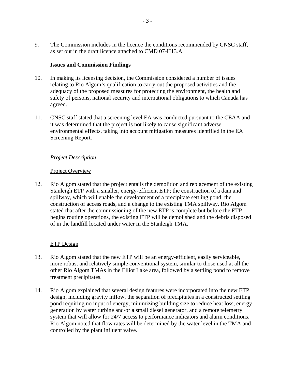9. The Commission includes in the licence the conditions recommended by CNSC staff, as set out in the draft licence attached to CMD 07-H13.A.

## **Issues and Commission Findings**

- 10. In making its licensing decision, the Commission considered a number of issues relating to Rio Algom's qualification to carry out the proposed activities and the adequacy of the proposed measures for protecting the environment, the health and safety of persons, national security and international obligations to which Canada has agreed.
- 11. CNSC staff stated that a screening level EA was conducted pursuant to the CEAA and it was determined that the project is not likely to cause significant adverse environmental effects, taking into account mitigation measures identified in the EA Screening Report.

# *Project Description*

# Project Overview

12. Rio Algom stated that the project entails the demolition and replacement of the existing Stanleigh ETP with a smaller, energy-efficient ETP; the construction of a dam and spillway, which will enable the development of a precipitate settling pond; the construction of access roads, and a change to the existing TMA spillway. Rio Algom stated that after the commissioning of the new ETP is complete but before the ETP begins routine operations, the existing ETP will be demolished and the debris disposed of in the landfill located under water in the Stanleigh TMA.

# ETP Design

- 13. Rio Algom stated that the new ETP will be an energy-efficient, easily serviceable, more robust and relatively simple conventional system, similar to those used at all the other Rio Algom TMAs in the Elliot Lake area, followed by a settling pond to remove treatment precipitates.
- 14. Rio Algom explained that several design features were incorporated into the new ETP design, including gravity inflow, the separation of precipitates in a constructed settling pond requiring no input of energy, minimizing building size to reduce heat loss, energy generation by water turbine and/or a small diesel generator, and a remote telemetry system that will allow for 24/7 access to performance indicators and alarm conditions. Rio Algom noted that flow rates will be determined by the water level in the TMA and controlled by the plant influent valve.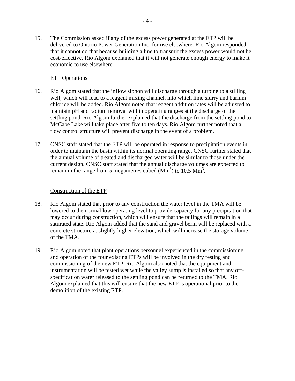15. The Commission asked if any of the excess power generated at the ETP will be delivered to Ontario Power Generation Inc. for use elsewhere. Rio Algom responded that it cannot do that because building a line to transmit the excess power would not be cost-effective. Rio Algom explained that it will not generate enough energy to make it economic to use elsewhere.

# ETP Operations

- 16. Rio Algom stated that the inflow siphon will discharge through a turbine to a stilling well, which will lead to a reagent mixing channel, into which lime slurry and barium chloride will be added. Rio Algom noted that reagent addition rates will be adjusted to maintain pH and radium removal within operating ranges at the discharge of the settling pond. Rio Algom further explained that the discharge from the settling pond to McCabe Lake will take place after five to ten days. Rio Algom further noted that a flow control structure will prevent discharge in the event of a problem.
- 17. CNSC staff stated that the ETP will be operated in response to precipitation events in order to maintain the basin within its normal operating range. CNSC further stated that the annual volume of treated and discharged water will be similar to those under the current design. CNSC staff stated that the annual discharge volumes are expected to remain in the range from 5 megametres cubed  $(Mm<sup>3</sup>)$  to  $10.5 Mm<sup>3</sup>$ .

## Construction of the ETP

- 18. Rio Algom stated that prior to any construction the water level in the TMA will be lowered to the normal low operating level to provide capacity for any precipitation that may occur during construction, which will ensure that the tailings will remain in a saturated state. Rio Algom added that the sand and gravel berm will be replaced with a concrete structure at slightly higher elevation, which will increase the storage volume of the TMA.
- 19. Rio Algom noted that plant operations personnel experienced in the commissioning and operation of the four existing ETPs will be involved in the dry testing and commissioning of the new ETP. Rio Algom also noted that the equipment and instrumentation will be tested wet while the valley sump is installed so that any offspecification water released to the settling pond can be returned to the TMA. Rio Algom explained that this will ensure that the new ETP is operational prior to the demolition of the existing ETP.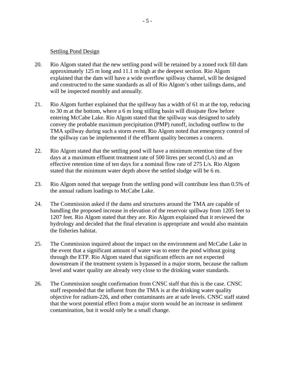### Settling Pond Design

- 20. Rio Algom stated that the new settling pond will be retained by a zoned rock fill dam approximately 125 m long and 11.1 m high at the deepest section. Rio Algom explained that the dam will have a wide overflow spillway channel, will be designed and constructed to the same standards as all of Rio Algom's other tailings dams, and will be inspected monthly and annually.
- 21. Rio Algom further explained that the spillway has a width of 61 m at the top, reducing to 30 m at the bottom, where a 6 m long stilling basin will dissipate flow before entering McCabe Lake. Rio Algom stated that the spillway was designed to safely convey the probable maximum precipitation (PMP) runoff, including outflow to the TMA spillway during such a storm event. Rio Algom noted that emergency control of the spillway can be implemented if the effluent quality becomes a concern.
- 22. Rio Algom stated that the settling pond will have a minimum retention time of five days at a maximum effluent treatment rate of 500 litres per second (L/s) and an effective retention time of ten days for a nominal flow rate of 275 L/s. Rio Algom stated that the minimum water depth above the settled sludge will be 6 m.
- 23. Rio Algom noted that seepage from the settling pond will contribute less than 0.5% of the annual radium loadings to McCabe Lake.
- 24. The Commission asked if the dams and structures around the TMA are capable of handling the proposed increase in elevation of the reservoir spillway from 1205 feet to 1207 feet. Rio Algom stated that they are. Rio Algom explained that it reviewed the hydrology and decided that the final elevation is appropriate and would also maintain the fisheries habitat.
- 25. The Commission inquired about the impact on the environment and McCabe Lake in the event that a significant amount of water was to enter the pond without going through the ETP. Rio Algom stated that significant effects are not expected downstream if the treatment system is bypassed in a major storm, because the radium level and water quality are already very close to the drinking water standards.
- 26. The Commission sought confirmation from CNSC staff that this is the case. CNSC staff responded that the influent from the TMA is at the drinking water quality objective for radium-226, and other contaminants are at safe levels. CNSC staff stated that the worst potential effect from a major storm would be an increase in sediment contamination, but it would only be a small change.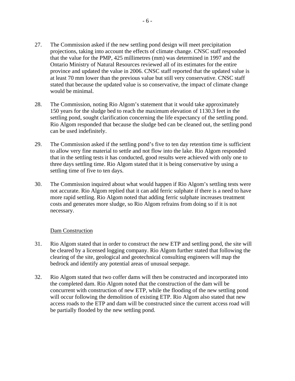- 27. The Commission asked if the new settling pond design will meet precipitation projections, taking into account the effects of climate change. CNSC staff responded that the value for the PMP, 425 millimetres (mm) was determined in 1997 and the Ontario Ministry of Natural Resources reviewed all of its estimates for the entire province and updated the value in 2006. CNSC staff reported that the updated value is at least 70 mm lower than the previous value but still very conservative. CNSC staff stated that because the updated value is so conservative, the impact of climate change would be minimal.
- 28. The Commission, noting Rio Algom's statement that it would take approximately 150 years for the sludge bed to reach the maximum elevation of 1130.3 feet in the settling pond, sought clarification concerning the life expectancy of the settling pond. Rio Algom responded that because the sludge bed can be cleaned out, the settling pond can be used indefinitely.
- 29. The Commission asked if the settling pond's five to ten day retention time is sufficient to allow very fine material to settle and not flow into the lake. Rio Algom responded that in the settling tests it has conducted, good results were achieved with only one to three days settling time. Rio Algom stated that it is being conservative by using a settling time of five to ten days.
- 30. The Commission inquired about what would happen if Rio Algom's settling tests were not accurate. Rio Algom replied that it can add ferric sulphate if there is a need to have more rapid settling. Rio Algom noted that adding ferric sulphate increases treatment costs and generates more sludge, so Rio Algom refrains from doing so if it is not necessary.

## Dam Construction

- 31. Rio Algom stated that in order to construct the new ETP and settling pond, the site will be cleared by a licensed logging company. Rio Algom further stated that following the clearing of the site, geological and geotechnical consulting engineers will map the bedrock and identify any potential areas of unusual seepage.
- 32. Rio Algom stated that two coffer dams will then be constructed and incorporated into the completed dam. Rio Algom noted that the construction of the dam will be concurrent with construction of new ETP, while the flooding of the new settling pond will occur following the demolition of existing ETP. Rio Algom also stated that new access roads to the ETP and dam will be constructed since the current access road will be partially flooded by the new settling pond.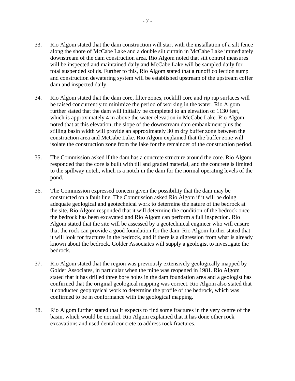- 33. Rio Algom stated that the dam construction will start with the installation of a silt fence along the shore of McCabe Lake and a double silt curtain in McCabe Lake immediately downstream of the dam construction area. Rio Algom noted that silt control measures will be inspected and maintained daily and McCabe Lake will be sampled daily for total suspended solids. Further to this, Rio Algom stated that a runoff collection sump and construction dewatering system will be established upstream of the upstream coffer dam and inspected daily.
- 34. Rio Algom stated that the dam core, filter zones, rockfill core and rip rap surfaces will be raised concurrently to minimize the period of working in the water. Rio Algom further stated that the dam will initially be completed to an elevation of 1130 feet, which is approximately 4 m above the water elevation in McCabe Lake. Rio Algom noted that at this elevation, the slope of the downstream dam embankment plus the stilling basin width will provide an approximately 30 m dry buffer zone between the construction area and McCabe Lake. Rio Algom explained that the buffer zone will isolate the construction zone from the lake for the remainder of the construction period.
- 35. The Commission asked if the dam has a concrete structure around the core. Rio Algom responded that the core is built with till and graded material, and the concrete is limited to the spillway notch, which is a notch in the dam for the normal operating levels of the pond.
- 36. The Commission expressed concern given the possibility that the dam may be constructed on a fault line. The Commission asked Rio Algom if it will be doing adequate geological and geotechnical work to determine the nature of the bedrock at the site. Rio Algom responded that it will determine the condition of the bedrock once the bedrock has been excavated and Rio Algom can perform a full inspection. Rio Algom stated that the site will be assessed by a geotechnical engineer who will ensure that the rock can provide a good foundation for the dam. Rio Algom further stated that it will look for fractures in the bedrock, and if there is a digression from what is already known about the bedrock, Golder Associates will supply a geologist to investigate the bedrock.
- 37. Rio Algom stated that the region was previously extensively geologically mapped by Golder Associates, in particular when the mine was reopened in 1981. Rio Algom stated that it has drilled three bore holes in the dam foundation area and a geologist has confirmed that the original geological mapping was correct. Rio Algom also stated that it conducted geophysical work to determine the profile of the bedrock, which was confirmed to be in conformance with the geological mapping.
- 38. Rio Algom further stated that it expects to find some fractures in the very centre of the basin, which would be normal. Rio Algom explained that it has done other rock excavations and used dental concrete to address rock fractures.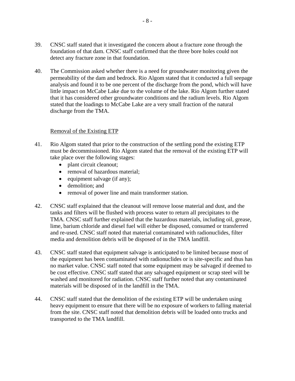- 39. CNSC staff stated that it investigated the concern about a fracture zone through the foundation of that dam. CNSC staff confirmed that the three bore holes could not detect any fracture zone in that foundation.
- 40. The Commission asked whether there is a need for groundwater monitoring given the permeability of the dam and bedrock. Rio Algom stated that it conducted a full seepage analysis and found it to be one percent of the discharge from the pond, which will have little impact on McCabe Lake due to the volume of the lake. Rio Algom further stated that it has considered other groundwater conditions and the radium levels. Rio Algom stated that the loadings to McCabe Lake are a very small fraction of the natural discharge from the TMA.

# Removal of the Existing ETP

- 41. Rio Algom stated that prior to the construction of the settling pond the existing ETP must be decommissioned. Rio Algom stated that the removal of the existing ETP will take place over the following stages:
	- plant circuit cleanout;
	- removal of hazardous material;
	- equipment salvage (if any);
	- demolition: and
	- removal of power line and main transformer station.
- 42. CNSC staff explained that the cleanout will remove loose material and dust, and the tanks and filters will be flushed with process water to return all precipitates to the TMA. CNSC staff further explained that the hazardous materials, including oil, grease, lime, barium chloride and diesel fuel will either be disposed, consumed or transferred and re-used. CNSC staff noted that material contaminated with radionuclides, filter media and demolition debris will be disposed of in the TMA landfill.
- 43. CNSC staff stated that equipment salvage is anticipated to be limited because most of the equipment has been contaminated with radionuclides or is site-specific and thus has no market value. CNSC staff noted that some equipment may be salvaged if deemed to be cost effective. CNSC staff stated that any salvaged equipment or scrap steel will be washed and monitored for radiation. CNSC staff further noted that any contaminated materials will be disposed of in the landfill in the TMA.
- 44. CNSC staff stated that the demolition of the existing ETP will be undertaken using heavy equipment to ensure that there will be no exposure of workers to falling material from the site. CNSC staff noted that demolition debris will be loaded onto trucks and transported to the TMA landfill.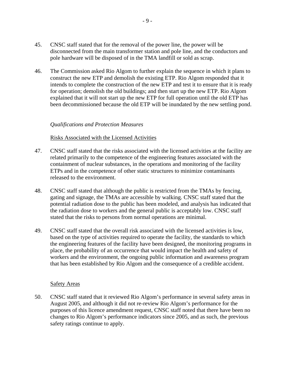- 45. CNSC staff stated that for the removal of the power line, the power will be disconnected from the main transformer station and pole line, and the conductors and pole hardware will be disposed of in the TMA landfill or sold as scrap.
- 46. The Commission asked Rio Algom to further explain the sequence in which it plans to construct the new ETP and demolish the existing ETP. Rio Algom responded that it intends to complete the construction of the new ETP and test it to ensure that it is ready for operation; demolish the old buildings; and then start up the new ETP. Rio Algom explained that it will not start up the new ETP for full operation until the old ETP has been decommissioned because the old ETP will be inundated by the new settling pond.

## *Qualifications and Protection Measures*

#### Risks Associated with the Licensed Activities

- 47. CNSC staff stated that the risks associated with the licensed activities at the facility are related primarily to the competence of the engineering features associated with the containment of nuclear substances, in the operations and monitoring of the facility ETPs and in the competence of other static structures to minimize contaminants released to the environment.
- 48. CNSC staff stated that although the public is restricted from the TMAs by fencing, gating and signage, the TMAs are accessible by walking. CNSC staff stated that the potential radiation dose to the public has been modeled, and analysis has indicated that the radiation dose to workers and the general public is acceptably low. CNSC staff stated that the risks to persons from normal operations are minimal.
- 49. CNSC staff stated that the overall risk associated with the licensed activities is low, based on the type of activities required to operate the facility, the standards to which the engineering features of the facility have been designed, the monitoring programs in place, the probability of an occurrence that would impact the health and safety of workers and the environment, the ongoing public information and awareness program that has been established by Rio Algom and the consequence of a credible accident.

#### Safety Areas

50. CNSC staff stated that it reviewed Rio Algom's performance in several safety areas in August 2005, and although it did not re-review Rio Algom's performance for the purposes of this licence amendment request, CNSC staff noted that there have been no changes to Rio Algom's performance indicators since 2005, and as such, the previous safety ratings continue to apply.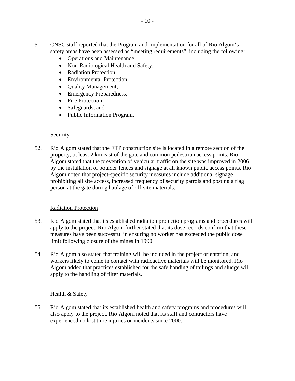- 51. CNSC staff reported that the Program and Implementation for all of Rio Algom's safety areas have been assessed as "meeting requirements", including the following:
	- Operations and Maintenance;
	- Non-Radiological Health and Safety;
	- Radiation Protection:
	- Environmental Protection;
	- Quality Management;
	- Emergency Preparedness;
	- Fire Protection;
	- Safeguards; and
	- Public Information Program.

# **Security**

52. Rio Algom stated that the ETP construction site is located in a remote section of the property, at least 2 km east of the gate and common pedestrian access points. Rio Algom stated that the prevention of vehicular traffic on the site was improved in 2006 by the installation of boulder fences and signage at all known public access points. Rio Algom noted that project-specific security measures include additional signage prohibiting all site access, increased frequency of security patrols and posting a flag person at the gate during haulage of off-site materials.

# Radiation Protection

- 53. Rio Algom stated that its established radiation protection programs and procedures will apply to the project. Rio Algom further stated that its dose records confirm that these measures have been successful in ensuring no worker has exceeded the public dose limit following closure of the mines in 1990.
- 54. Rio Algom also stated that training will be included in the project orientation, and workers likely to come in contact with radioactive materials will be monitored. Rio Algom added that practices established for the safe handing of tailings and sludge will apply to the handling of filter materials.

# Health & Safety

55. Rio Algom stated that its established health and safety programs and procedures will also apply to the project. Rio Algom noted that its staff and contractors have experienced no lost time injuries or incidents since 2000.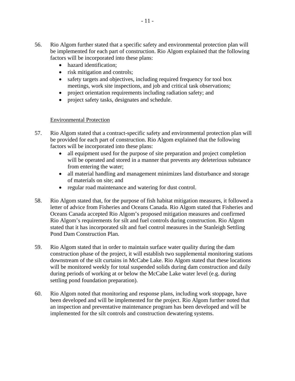- 56. Rio Algom further stated that a specific safety and environmental protection plan will be implemented for each part of construction. Rio Algom explained that the following factors will be incorporated into these plans:
	- hazard identification;
	- risk mitigation and controls;
	- safety targets and objectives, including required frequency for tool box meetings, work site inspections, and job and critical task observations;
	- project orientation requirements including radiation safety; and
	- project safety tasks, designates and schedule.

# Environmental Protection

- 57. Rio Algom stated that a contract-specific safety and environmental protection plan will be provided for each part of construction. Rio Algom explained that the following factors will be incorporated into these plans:
	- all equipment used for the purpose of site preparation and project completion will be operated and stored in a manner that prevents any deleterious substance from entering the water;
	- • all material handling and management minimizes land disturbance and storage of materials on site; and
	- regular road maintenance and watering for dust control.
- 58. Rio Algom stated that, for the purpose of fish habitat mitigation measures, it followed a letter of advice from Fisheries and Oceans Canada. Rio Algom stated that Fisheries and Oceans Canada accepted Rio Algom's proposed mitigation measures and confirmed Rio Algom's requirements for silt and fuel controls during construction. Rio Algom stated that it has incorporated silt and fuel control measures in the Stanleigh Settling Pond Dam Construction Plan.
- 59. Rio Algom stated that in order to maintain surface water quality during the dam construction phase of the project, it will establish two supplemental monitoring stations downstream of the silt curtains in McCabe Lake. Rio Algom stated that these locations will be monitored weekly for total suspended solids during dam construction and daily during periods of working at or below the McCabe Lake water level (e.g. during settling pond foundation preparation).
- 60. Rio Algom noted that monitoring and response plans, including work stoppage, have been developed and will be implemented for the project. Rio Algom further noted that an inspection and preventative maintenance program has been developed and will be implemented for the silt controls and construction dewatering systems.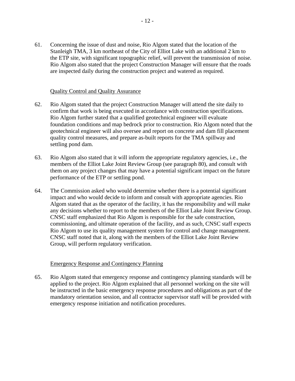61. Concerning the issue of dust and noise, Rio Algom stated that the location of the Stanleigh TMA, 3 km northeast of the City of Elliot Lake with an additional 2 km to the ETP site, with significant topographic relief, will prevent the transmission of noise. Rio Algom also stated that the project Construction Manager will ensure that the roads are inspected daily during the construction project and watered as required.

## Quality Control and Quality Assurance

- 62. Rio Algom stated that the project Construction Manager will attend the site daily to confirm that work is being executed in accordance with construction specifications. Rio Algom further stated that a qualified geotechnical engineer will evaluate foundation conditions and map bedrock prior to construction. Rio Algom noted that the geotechnical engineer will also oversee and report on concrete and dam fill placement quality control measures, and prepare as-built reports for the TMA spillway and settling pond dam.
- 63. Rio Algom also stated that it will inform the appropriate regulatory agencies, i.e., the members of the Elliot Lake Joint Review Group (see paragraph 80), and consult with them on any project changes that may have a potential significant impact on the future performance of the ETP or settling pond.
- 64. The Commission asked who would determine whether there is a potential significant impact and who would decide to inform and consult with appropriate agencies. Rio Algom stated that as the operator of the facility, it has the responsibility and will make any decisions whether to report to the members of the Elliot Lake Joint Review Group. CNSC staff emphasized that Rio Algom is responsible for the safe construction, commissioning, and ultimate operation of the facility, and as such, CNSC staff expects Rio Algom to use its quality management system for control and change management. CNSC staff noted that it, along with the members of the Elliot Lake Joint Review Group, will perform regulatory verification.

## Emergency Response and Contingency Planning

65. Rio Algom stated that emergency response and contingency planning standards will be applied to the project. Rio Algom explained that all personnel working on the site will be instructed in the basic emergency response procedures and obligations as part of the mandatory orientation session, and all contractor supervisor staff will be provided with emergency response initiation and notification procedures.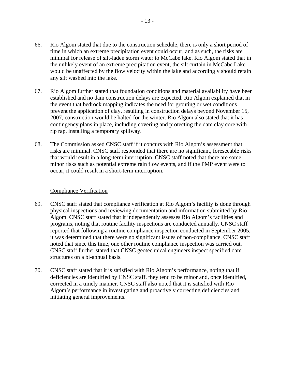- 66. Rio Algom stated that due to the construction schedule, there is only a short period of time in which an extreme precipitation event could occur, and as such, the risks are minimal for release of silt-laden storm water to McCabe lake. Rio Algom stated that in the unlikely event of an extreme precipitation event, the silt curtain in McCabe Lake would be unaffected by the flow velocity within the lake and accordingly should retain any silt washed into the lake.
- 67. Rio Algom further stated that foundation conditions and material availability have been established and no dam construction delays are expected. Rio Algom explained that in the event that bedrock mapping indicates the need for grouting or wet conditions prevent the application of clay, resulting in construction delays beyond November 15, 2007, construction would be halted for the winter. Rio Algom also stated that it has contingency plans in place, including covering and protecting the dam clay core with rip rap, installing a temporary spillway.
- 68. The Commission asked CNSC staff if it concurs with Rio Algom's assessment that risks are minimal. CNSC staff responded that there are no significant, foreseeable risks that would result in a long-term interruption. CNSC staff noted that there are some minor risks such as potential extreme rain flow events, and if the PMP event were to occur, it could result in a short-term interruption.

## Compliance Verification

- 69. CNSC staff stated that compliance verification at Rio Algom's facility is done through physical inspections and reviewing documentation and information submitted by Rio Algom. CNSC staff stated that it independently assesses Rio Algom's facilities and programs, noting that routine facility inspections are conducted annually. CNSC staff reported that following a routine compliance inspection conducted in September 2005, it was determined that there were no significant issues of non-compliance. CNSC staff noted that since this time, one other routine compliance inspection was carried out. CNSC staff further stated that CNSC geotechnical engineers inspect specified dam structures on a bi-annual basis.
- 70. CNSC staff stated that it is satisfied with Rio Algom's performance, noting that if deficiencies are identified by CNSC staff, they tend to be minor and, once identified, corrected in a timely manner. CNSC staff also noted that it is satisfied with Rio Algom's performance in investigating and proactively correcting deficiencies and initiating general improvements.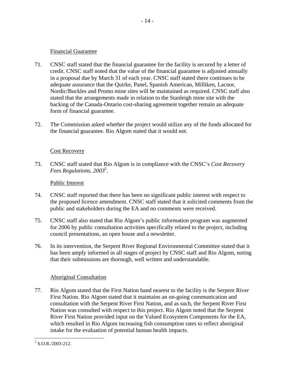## Financial Guarantee

71. CNSC staff stated that the financial guarantee for the facility is secured by a letter of credit. CNSC staff noted that the value of the financial guarantee is adjusted annually in a proposal due by March 31 of each year. CNSC staff stated there continues to be adequate assurance that the Quirke, Panel, Spanish American, Milliken, Lacnor, Nordic/Buckles and Pronto mine sites will be maintained as required. CNSC staff also stated that the arrangements made in relation to the Stanleigh mine site with the backing of the Canada-Ontario cost-sharing agreement together remain an adequate form of financial guarantee.

- 14 -

72. The Commission asked whether the project would utilize any of the funds allocated for the financial guarantee. Rio Algom stated that it would not.

# Cost Recovery

73. CNSC staff stated that Rio Algom is in compliance with the CNSC's *Cost Recovery Fees Regulations, 2003*<sup>5</sup> .

# Public Interest

- 74. CNSC staff reported that there has been no significant public interest with respect to the proposed licence amendment. CNSC staff stated that it solicited comments from the public and stakeholders during the EA and no comments were received.
- 75. CNSC staff also stated that Rio Algom's public information program was augmented for 2006 by public consultation activities specifically related to the project, including council presentations, an open house and a newsletter.
- 76. In its intervention, the Serpent River Regional Environmental Committee stated that it has been amply informed in all stages of project by CNSC staff and Rio Algom, noting that their submissions are thorough, well written and understandable.

# Aboriginal Consultation

77. Rio Algom stated that the First Nation band nearest to the facility is the Serpent River First Nation. Rio Algom stated that it maintains an on-going communication and consultation with the Serpent River First Nation, and as such, the Serpent River First Nation was consulted with respect to this project. Rio Algom noted that the Serpent River First Nation provided input on the Valued Ecosystem Components for the EA, which resulted in Rio Algom increasing fish consumption rates to reflect aboriginal intake for the evaluation of potential human health impacts.

 $\overline{a}$  $5$  S.O.R./2003-212.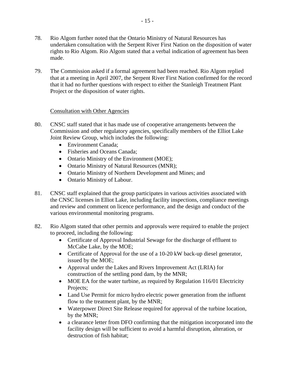- 78. Rio Algom further noted that the Ontario Ministry of Natural Resources has undertaken consultation with the Serpent River First Nation on the disposition of water rights to Rio Algom. Rio Algom stated that a verbal indication of agreement has been made.
- 79. The Commission asked if a formal agreement had been reached. Rio Algom replied that at a meeting in April 2007, the Serpent River First Nation confirmed for the record that it had no further questions with respect to either the Stanleigh Treatment Plant Project or the disposition of water rights.

# Consultation with Other Agencies

- 80. CNSC staff stated that it has made use of cooperative arrangements between the Commission and other regulatory agencies, specifically members of the Elliot Lake Joint Review Group, which includes the following:
	- Environment Canada:
	- Fisheries and Oceans Canada:
	- Ontario Ministry of the Environment (MOE);
	- Ontario Ministry of Natural Resources (MNR);
	- Ontario Ministry of Northern Development and Mines; and
	- Ontario Ministry of Labour.
- 81. CNSC staff explained that the group participates in various activities associated with the CNSC licenses in Elliot Lake, including facility inspections, compliance meetings and review and comment on licence performance, and the design and conduct of the various environmental monitoring programs.
- 82. Rio Algom stated that other permits and approvals were required to enable the project to proceed, including the following:
	- • Certificate of Approval Industrial Sewage for the discharge of effluent to McCabe Lake, by the MOE;
	- Certificate of Approval for the use of a 10-20 kW back-up diesel generator, issued by the MOE;
	- Approval under the Lakes and Rivers Improvement Act (LRIA) for construction of the settling pond dam, by the MNR;
	- MOE EA for the water turbine, as required by Regulation 116/01 Electricity Projects;
	- Land Use Permit for micro hydro electric power generation from the influent flow to the treatment plant, by the MNR;
	- Waterpower Direct Site Release required for approval of the turbine location, by the MNR;
	- a clearance letter from DFO confirming that the mitigation incorporated into the facility design will be sufficient to avoid a harmful disruption, alteration, or destruction of fish habitat;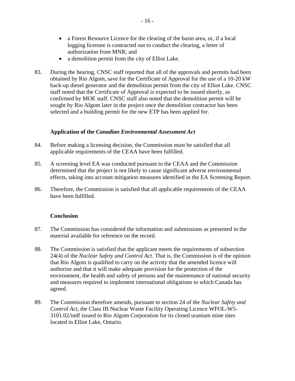- a Forest Resource Licence for the clearing of the basin area, or, if a local logging licensee is contracted out to conduct the clearing, a letter of authorization from MNR; and
- a demolition permit from the city of Elliot Lake.
- 83. During the hearing, CNSC staff reported that all of the approvals and permits had been obtained by Rio Algom, save for the Certificate of Approval for the use of a 10-20 kW back-up diesel generator and the demolition permit from the city of Elliot Lake. CNSC staff noted that the Certificate of Approval is expected to be issued shortly, as confirmed by MOE staff. CNSC staff also noted that the demolition permit will be sought by Rio Algom later in the project once the demolition contractor has been selected and a building permit for the new ETP has been applied for.

# **Application of the** *Canadian Environmental Assessment Act*

- 84. Before making a licensing decision, the Commission must be satisfied that all applicable requirements of the CEAA have been fulfilled.
- 85. A screening level EA was conducted pursuant to the CEAA and the Commission determined that the project is not likely to cause significant adverse environmental effects, taking into account mitigation measures identified in the EA Screening Report.
- 86. Therefore, the Commission is satisfied that all applicable requirements of the CEAA have been fulfilled.

## **Conclusion**

- 87. The Commission has considered the information and submissions as presented in the material available for reference on the record.
- 88. The Commission is satisfied that the applicant meets the requirements of subsection 24(4) of the *Nuclear Safety and Control Act*. That is, the Commission is of the opinion that Rio Algom is qualified to carry on the activity that the amended licence will authorize and that it will make adequate provision for the protection of the environment, the health and safety of persons and the maintenance of national security and measures required to implement international obligations to which Canada has agreed.
- 89. The Commission therefore amends, pursuant to section 24 of the *Nuclear Safety and Control Act*, the Class IB Nuclear Waste Facility Operating Licence WFOL-W5- 3101.02/indf issued to Rio Algom Corporation for its closed uranium mine sites located in Elliot Lake, Ontario.